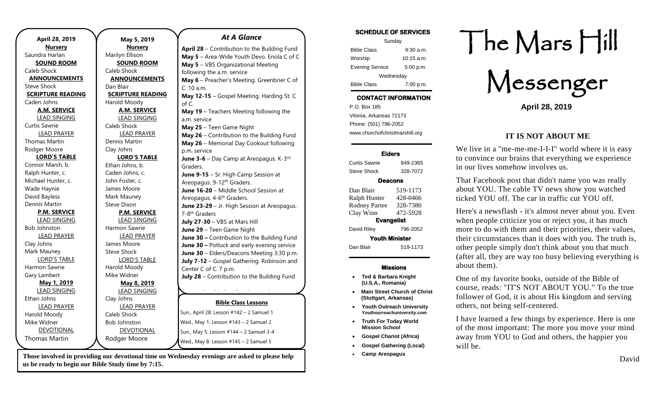| April 28, 2019           | May 5, 20           |
|--------------------------|---------------------|
| <b>Nursery</b>           | <b>Nursery</b>      |
| Saundra Harlan           | Marilyn Ellison     |
| <b>SOUND ROOM</b>        | <b>SOUND RO</b>     |
| Caleb Shock              | Caleb Shock         |
| <b>ANNOUNCEMENTS</b>     | <b>ANNOUNCEN</b>    |
| <b>Steve Shock</b>       | Dan Blair           |
| <b>SCRIPTURE READING</b> | <b>SCRIPTURE RE</b> |
| Caden Johns              | Harold Moody        |
| <b>A.M. SERVICE</b>      | A.M. SERV           |
| <b>LEAD SINGING</b>      | <b>LEAD SING</b>    |
| <b>Curtis Sawrie</b>     | Caleb Shock         |
| <b>LEAD PRAYER</b>       | <b>LEAD PRAY</b>    |
| <b>Thomas Martin</b>     | Dennis Martin       |
| Rodger Moore             | Clay Johns          |
| <b>LORD'S TABLE</b>      | <b>LORD'S TA</b>    |
| Connor Marsh, b.         | Ethan Johns, b.     |
| Ralph Hunter, c.         | Caden Johns, c.     |
| Michael Hunter, c.       | John Foster, c.     |
| Wade Haynie              | James Moore         |
| David Bayless            | Mark Mauney         |
| Dennis Martin            | Steve Dixon         |
| <b>P.M. SERVICE</b>      | P.M. SERV           |
| <b>LEAD SINGING</b>      | <b>LEAD SING</b>    |
| <b>Bob Johnston</b>      | Harmon Sawrie       |
| <b>LEAD PRAYER</b>       | <b>LEAD PRAY</b>    |
| Clay Johns               | James Moore         |
| Mark Mauney              | <b>Steve Shock</b>  |
| <b>LORD'S TABLE</b>      | <b>LORD'S TA</b>    |
| Harmon Sawrie            | Harold Moody        |
| Gary Lambert             | Mike Widner         |
| May 1, 2019              | May 8, 20           |
| <b>LEAD SINGING</b>      | <b>LEAD SING</b>    |
| Ethan Johns              | Clay Johns          |
| <b>LEAD PRAYER</b>       | <b>LEAD PRAY</b>    |
| Harold Moody             | <b>Caleb Shock</b>  |
| Mike Widner              | <b>Bob Johnston</b> |
| <b>DEVOTIONAL</b>        | <b>DEVOTION</b>     |
| <b>Thomas Martin</b>     | Rodger Moore        |

#### **May 5, 2019 Nursery MOO MENTS EADING AICE**  $3$ ING **LYER LOBE PICE**  $SING$ **LYER** ABLE 019  $JING$ **LYER** <u>NAL</u> **Bible Class Lessons** Sun., April 28: Lesson #142 – 2 Samuel 1 Wed., May 1: Lesson #143 – 2 Samuel 2 Sun., May 5: Lesson #144 – 2 Samuel 3-4 Wed., May 8: Lesson #145 – 2 Samuel 5 *At A Glance*  **April 28** – Contribution to the Building Fund **May 5** – Area-Wide Youth Devo. Enola C of C **May 5** – VBS Organizational Meeting following the a.m. service **May 6** – Preacher's Meeting. Greenbrier C of C. 10 a.m. **May 12-15** – Gospel Meeting. Harding St. C of C. **May 19** – Teachers Meeting following the a.m. service **May 25** – Teen Game Night **May 26** – Contribution to the Building Fund **May 26** – Memorial Day Cookout following p.m. service **June 3-6** – Day Camp at Areopagus. K-3<sup>rd</sup> Graders. **June 9-15** – Sr. High Camp Session at Areopagus. 9-12<sup>th</sup> Graders. **June 16-20** – Middle School Session at Areopagus. 4-6<sup>th</sup> Graders. **June 23-29** – Jr. High Session at Areopagus. 7-8 th Graders **July 27-30** – VBS at Mars Hill **June 29** – Teen Game Night **June 30 –** Contribution to the Building Fund **June 30 –** Potluck and early evening service **June 30** – Elders/Deacons Meeting 3:30 p.m. **July 7-12** – Gospel Gathering. Robinson and Center C of C. 7 p.m. **July 28** – Contribution to the Building Fund **September 29-October 2** – Harding

Those involved in providing our devotional time on Wednesday evenings are asked to please help **Camp Areopagus Camp Areopagus** David **us be ready to begin our Bible Study time by 7:15.** 

### **SCHEDULE OF SERVICES**  Sunday Bible Class 9:30 a.m. Worship 10:15 a.m. Evening Service 5:00 p.m.

Wednesday Bible Class 7:00 p.m.

# **CONTACT INFORMATION**

. .o. Box 166<br>Vilonia, Arkansas 72173 P.O. Box 185 Phone: (501) 796-2052 www.churchofchristmarshill.org

### **Elders**

Curtis Sawrie 849-2365 Steve Shock 328-7072

### **Deacons**

| Dan Blair             | 519-1173 |  |
|-----------------------|----------|--|
| Ralph Hunter          | 428-0466 |  |
| <b>Rodney Partee</b>  | 328-7380 |  |
| Clay Winn             | 472-5928 |  |
| <b>Evangelist</b>     |          |  |
| David Riley           | 796-2052 |  |
| <b>Youth Minister</b> |          |  |
| Dan Blair             | 519-1173 |  |
|                       |          |  |

### **Missions**

- **Ted & Barbara Knight (U.S.A., Romania)**
- **Main Street Church of Christ (Stuttgart, Arkansas)**
- **Youth Outreach University Youthourreachuniversity.com**
- **Truth For Today World Mission School**
- **Gospel Chariot (Africa)**
- **Gospel Gathering (Local)**
- **Camp Areopagus**

# The Mars Hill

Messenger

**April 28, 2019**

### **IT IS NOT ABOUT ME**

We live in a "me-me-me-I-I-I" world where it is easy to convince our brains that everything we experience in our lives somehow involves us.

That Facebook post that didn't name you was really about YOU. The cable TV news show you watched ticked YOU off. The car in traffic cut YOU off.

Here's a newsflash - it's almost never about you. Even when people criticize you or reject you, it has much more to do with them and their priorities, their values, their circumstances than it does with you. The truth is, other people simply don't think about you that much (after all, they are way too busy believing everything is about them).

One of my favorite books, outside of the Bible of course, reads: "IT'S NOT ABOUT YOU." To the true follower of God, it is about His kingdom and serving others, not being self-centered.

I have learned a few things by experience. Here is one of the most important: The more you move your mind away from YOU to God and others, the happier you will be.